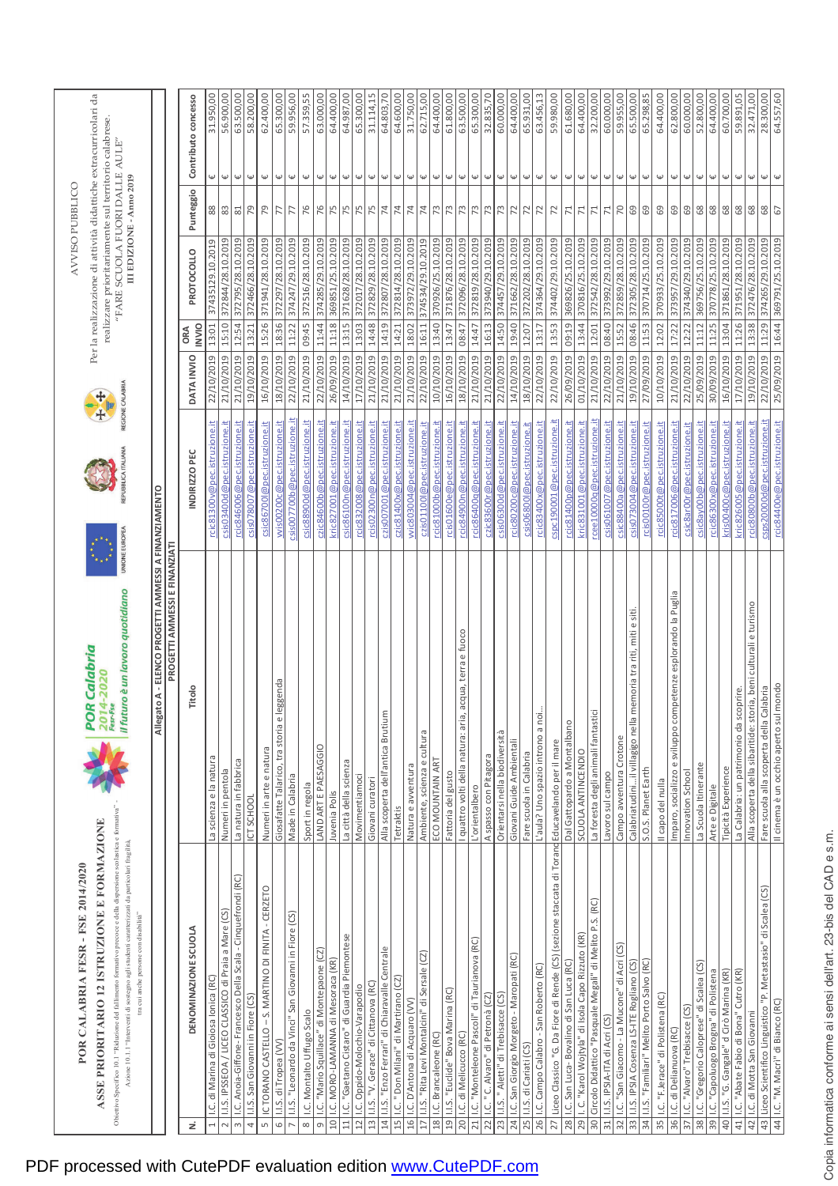|                 | Obiettivo Specifico 10.1 "Riduzione del fallimento formativo precoce e della dispersione scolastica e formativa"<br>ASSE PRIORITARIO 12 ISTRUZIONE E FORMAZIONE<br>Azione 10.1.1 "Interventi di sostegno agli studenti caratterizzati da particolari fragilità,<br>POR CALABRIA FESR - FSE 2014/2020<br>tra cui anche persone con disabilità" | Il futuro è un lavoro quotidiano<br>  POR Calabria<br>  2014-2020<br>  <sub>Fesr-Fe</sub> | REPUBBLICA ITALIANA<br>UNIONE EUROPEA | REGIONE CALABRIA<br>十月 | Per la realizzazione di attività didattiche extracurricolari da<br>realizzare prioritariamente sul territorio calabrese.<br>"FARE SCUOLA FUORI DALLE AULE" | III EDIZIONE - Anno 2019<br><b>AVVISO PUBELICO</b> |                         |                     |
|-----------------|-----------------------------------------------------------------------------------------------------------------------------------------------------------------------------------------------------------------------------------------------------------------------------------------------------------------------------------------------|-------------------------------------------------------------------------------------------|---------------------------------------|------------------------|------------------------------------------------------------------------------------------------------------------------------------------------------------|----------------------------------------------------|-------------------------|---------------------|
|                 |                                                                                                                                                                                                                                                                                                                                               | Allegato A - ELENCO PROGETTI AMMESSI A FINANZIAMENTO                                      |                                       |                        |                                                                                                                                                            |                                                    |                         |                     |
|                 |                                                                                                                                                                                                                                                                                                                                               | PROGETTI AMMESSI E FINANZIATI                                                             |                                       |                        |                                                                                                                                                            |                                                    |                         |                     |
| ż               | DENOMINAZIONE SCUOLA                                                                                                                                                                                                                                                                                                                          | Titolo                                                                                    | INDIRIZZO PEC                         | DATA INVIO             | PROTOCOLLO<br><b>INVIO</b><br>ORA                                                                                                                          | Punteggio                                          |                         | Contributo concesso |
|                 | .C. di Marina di Gioiosa Ionica (RC)                                                                                                                                                                                                                                                                                                          | La scienza e la natura                                                                    | rcic81300v@pec.istruzione.it          | 22/10/2019             | 37435129.10.2019<br>13:01                                                                                                                                  | $88$                                               | Ψ                       | 31.950,00           |
| 2               | I.I.S. IPSSEOA / LICEO CLASSICO di Praia a Mare (CS)                                                                                                                                                                                                                                                                                          | Numeri in pentola                                                                         | csis03400d@pec.istruzione.it          | 21/10/2019             | 372844/28.10.2019<br>15:10                                                                                                                                 | $83\,$                                             | $\omega$                | 56.900,00           |
| $\infty$        | I.C. Anoia-Giffone- Francesco Della Scala - Cinquefrondi (RC)                                                                                                                                                                                                                                                                                 | La natura in fabbrica                                                                     | rcic846006@pec.istruzione.it          | 21/10/2019             | 372795/28.10.2019<br>12:54                                                                                                                                 | 81                                                 | $\omega$                | 63.500,00           |
| 4               | I.I.S. San Giovanni in Fiore (CS)                                                                                                                                                                                                                                                                                                             | ICT SCHOOL                                                                                | csis078007@pec.istruzione.it          | 19/10/2019             | 372466/28.10.2019<br>13:21                                                                                                                                 | 79                                                 | Ψ                       | 58.200,00           |
| $\sqrt{2}$      | IC TORANO CASTELLO - S. MARTINO DI FINITA - CERZETO                                                                                                                                                                                                                                                                                           | Numeri in arte e natura                                                                   | csic86700l@pec.istruzione.it          | 16/10/2019             | 371941/28.10.2019<br>15:26                                                                                                                                 | 79                                                 | $\upomega$              | 62.400,00           |
| $\circ$         | .I.S. di Tropea (VV)                                                                                                                                                                                                                                                                                                                          | leggenda<br>Giosafatte Talarico, tra storia e                                             | wis00200c@pec.istruzione.it           | 18/10/2019             | 372297/28.10.2019<br>18:36                                                                                                                                 | 77                                                 | $\uppsi$                | 65.300,00           |
|                 | .I.S. "Leonardo da Vinci" San Giovanni in Fiore (CS)                                                                                                                                                                                                                                                                                          | Made in Calabria                                                                          | csis007700b@pec.istruzione.it         | 22/10/2019             | 374247/29.10.2019<br>11:22                                                                                                                                 | 77                                                 | $\omega$                | 59.956,00           |
| $\infty$        | I.C. Montalto Uffugo Scalo                                                                                                                                                                                                                                                                                                                    | Sport in regola                                                                           | csic88900d@pec.istruzione.it          | 21/10/2019             | 372516/28.10.2019<br>09:45                                                                                                                                 | 76                                                 | $\omega$                | 57.359,55           |
| $\sigma$        | I.C. "Mario Squillace" di Montepaone (CZ)                                                                                                                                                                                                                                                                                                     | LAND ART E PAESAGGIO                                                                      | czic84600b@pec.istruzione.it          | 22/10/2019             | 374285/29.10.2019<br>11:44                                                                                                                                 | 76                                                 | $\omega$                | 63.000,00           |
| $\overline{a}$  | I.C. MORO-LAMANNA di Mesoraca (KR)                                                                                                                                                                                                                                                                                                            | Juvenia Polis                                                                             | kric827001@pec.istruzione.it          | 26/09/2019             | 369851/25.10.2019<br>11:18                                                                                                                                 | 75                                                 | ₩                       | 64.400,00           |
| $\overline{11}$ | I.C. "Gaetano Cistaro" di Guardia Piemontese                                                                                                                                                                                                                                                                                                  | La città della scienza                                                                    | csic86100n@pec.istruzione.it          | 14/10/2019             | 371628/28.10.2019<br>13:15                                                                                                                                 | 75                                                 | $\omega$                | 64.987,00           |
| $\frac{12}{1}$  | I.C. Oppido-Molochio-Varapodio                                                                                                                                                                                                                                                                                                                | Movimentiamoci                                                                            | rcic832008@pec.istruzione.it          | 17/10/2019             | 372017/28.10.2019<br>13:03                                                                                                                                 | 75                                                 | Ψ                       | 65.300,00           |
| 13              | I.I.S. "V. Gerace" di Cittanova (RC)                                                                                                                                                                                                                                                                                                          | Giovani curatori                                                                          | rcis02300n@pec.istruzione.it          | 21/10/2019             | 372829/28.10.2019<br>14:48                                                                                                                                 | 75                                                 | $\pmb{\omega}$          | 31.114,15           |
| 14              | I.I.S. "Enzo Ferrari" di Chiaravalle Centrale                                                                                                                                                                                                                                                                                                 | Alla scoperta dell'antica Brutium                                                         | czis007001@pec.istruzione.it          | 21/10/2019             | 372807/28.10.2019<br>14:19                                                                                                                                 | 74                                                 | $\omega$                | 64.803,70           |
| $\frac{15}{1}$  | I.C." Don Milani" di Martirano (CZ)                                                                                                                                                                                                                                                                                                           | Tetraktis                                                                                 | czic81400x@pec.istruzione.it          | 21/10/2019             | 372814/28.10.2019<br>14:21                                                                                                                                 | 74                                                 | $\overline{\mathsf{L}}$ | 64.600,00           |
| 16              | I.C. D'Antona di Acquaro (VV                                                                                                                                                                                                                                                                                                                  | Natura e avventura                                                                        | vvic803004@pec.istruzione.it          | 21/10/2019             | 373972/29.10.2019<br>18:02                                                                                                                                 | 74                                                 | $\omega$                | 31.750,00           |
| 17              | I.I.S. "Rita Levi Montalcini" di Sersale (CZ)                                                                                                                                                                                                                                                                                                 | Ambiente, scienza e cultura                                                               | czis01100l@pec.istruzione.it          | 22/10/2019             | 374534/29.10.2019<br>16:11                                                                                                                                 | 74                                                 | $\pmb{\omega}$          | 62.715,00           |
|                 | 18   I.C. Brancaleone (RC)                                                                                                                                                                                                                                                                                                                    | ECO MOUNTAIN ART                                                                          | rcic81000b@pec.istruzione.it          | 10/10/2019             | 370926/25.10.2019<br>13:40                                                                                                                                 | 73                                                 | Ψ                       | 64.400,00           |
| $\overline{0}$  | I.I.S. "Euclide" Bova Marina (RC)                                                                                                                                                                                                                                                                                                             | Fattoria del gusto                                                                        | rcis01600e@pec.istruzione.it          | 16/10/2019             | 371876/28.10.2019<br>13:47                                                                                                                                 | 73                                                 | $\overline{\mathsf{F}}$ | 61.800,00           |
| 20              | I.C. di Melicucco (RC)                                                                                                                                                                                                                                                                                                                        | I quattro volti della natura: aria, acqua, terra e fuoco                                  | rcic84900n@pec.istruzione.it          | 18/10/2019             | 372096/28.10.2019<br>08:47                                                                                                                                 | 73                                                 | Ψ                       | 63.500,00           |
| 21              | I.C. "Monteleone Pascoli" di Taurianova (RC)                                                                                                                                                                                                                                                                                                  | L'orientalbero                                                                            | rcic86400q@pec.istruzione.it          | 21/10/2019             | 372819/28.10.2019<br>14:47                                                                                                                                 | 73                                                 | $\omega$                | 65.300,00           |
| 22              | I.C. " C. Alvaro" di Petronà (CZ)                                                                                                                                                                                                                                                                                                             | A spasso con Pitagora                                                                     | czic83600r@pec.istruzione.it          | 21/10/2019             | 373940/29.10.2019<br>16:13                                                                                                                                 | 73                                                 | ₩                       | 32.835,70           |
| 23              | I.I.S. " Aletti" di Trebisacce (CS)                                                                                                                                                                                                                                                                                                           | Orientarsi nella biodiversità                                                             | csis06300d@pec.istruzione.it          | 22/10/2019             | 374457/29.10.2019<br>14:50                                                                                                                                 | 73                                                 | Ψ                       | 60.000,00           |
| 24              | I.C. San Giorgio Morgeto - Maropati (RC)                                                                                                                                                                                                                                                                                                      | Giovani Guide Ambientali                                                                  | rcic80200c@pec.istruzione.it          | 14/10/2019             | 371662/28.10.2019<br>19:40                                                                                                                                 | 72                                                 | $\pmb{\psi}$            | 64.400,00           |
| 25              | I.I.S. di Cariati (CS)                                                                                                                                                                                                                                                                                                                        | Fare scuola in Calabria                                                                   | csis06800l@pec.istruzione.it          | 18/10/2019             | 372202/28.10.2019<br>12:07                                                                                                                                 | 72                                                 | $\overline{\mathsf{F}}$ | 65.931,00           |
| 26              | I.C. Campo Calabro - San Roberto (RC)                                                                                                                                                                                                                                                                                                         | L'aula? Uno spazio introno a no                                                           | rcic83400x@pec.istruzione.it          | 22/10/2019             | 374364/29.10.2019<br>13:17                                                                                                                                 | 72                                                 | Ψ                       | 63.456,13           |
| 27              | Liceo Classico "G. Da Fiore di Rende (CS) (sezione staccata di TorandEducavelando per il mare                                                                                                                                                                                                                                                 |                                                                                           | cspc190001@pec.istruzione.it          | 22/10/2019             | 374402/29.10.2019<br>13:53                                                                                                                                 | 72                                                 | Ψ                       | 59.980,00           |
|                 | 28   I.C. San Luca- Bovalino di San Luca (RC)                                                                                                                                                                                                                                                                                                 | Dal Gattopardo a Montalbano                                                               | rcic81400p@pec.istruzione.it          | 26/09/2019             | 09:19 369826/25.10.2019                                                                                                                                    | 71                                                 | $\omega$                | 61.680,00           |
| 29              | I. C. "Karol Wojtyla" di Isola Capo Rizzuto (KR)                                                                                                                                                                                                                                                                                              | SCUOLA ANTINCENDIO                                                                        | kric831001@pec.istruzione.it          | 01/10/2019             | 370816/25.10.2019<br>13:44                                                                                                                                 | 71                                                 | ₩                       | 64.400,00           |
| 30              | Circolo Didattico "Pasquale Megali" di Melito P.S. (RC)                                                                                                                                                                                                                                                                                       | La foresta degli animali fantastici                                                       | rcee10000q@pec.istruzione.it          | 21/10/2019             | 372542/28.10.2019<br>12:01                                                                                                                                 | $71\,$                                             | $\uppsi$                | 32.200,00           |
| $\frac{1}{31}$  | I.I.S. IPSIA-ITA di Acri (CS)                                                                                                                                                                                                                                                                                                                 | Lavoro sul campo                                                                          | csis061007@pec.istruzione.it          | 22/10/2019             | 373992/29.10.2019<br>08:40                                                                                                                                 | 71                                                 | ₩                       | 60.000,00           |
| 32              | I.C. "San Giacomo - La Mucone" di Acri (CS)                                                                                                                                                                                                                                                                                                   | Campo avventura Crotone                                                                   | csic88400a@pec.istruzione.it          | 21/10/2019             | 372859/28.10.2019<br>15:52                                                                                                                                 | 70                                                 | $\omega$                | 59.955,00           |
| $\frac{33}{5}$  | I.I.S. IPSIA Cosenza LS-ITE Rogliano (CS)                                                                                                                                                                                                                                                                                                     | memoria tra riti, miti e siti<br>Calabriatudiniil villagigo nella                         | csis073004@pec.istruzione.it          | 19/10/2019             | 372305/28.10.2019<br>08:46                                                                                                                                 | $\frac{69}{2}$                                     | $\omega$                | 65.500,00           |
|                 | 34   I.I.S. "Familiari" Melito Porto Salvo (RC)                                                                                                                                                                                                                                                                                               | S.O.S. Planet Earth                                                                       | rcis00100r@pec.istruzione.it          | 27/09/2019             | 370714/25.10.2019<br>11:53                                                                                                                                 | 69                                                 | $\downarrow \downarrow$ | 65.298,85           |
| 35              | I.C. "F.Jerace" di Polistena (RC)                                                                                                                                                                                                                                                                                                             | Il capo del nulla                                                                         | rcic85000t@pec.istruzione.it          | 10/10/2019             | 370933/25.10.2019<br>12:02                                                                                                                                 | 69                                                 | $\pmb{\psi}$            | 64.400,00           |
| 36              | I.C. di Delianuova (RC)                                                                                                                                                                                                                                                                                                                       | Imparo, socializzo e sviluppo competenze esplorando la Puglia                             | rcic817006@pec.istruzione.it          | 21/10/2019             | 373957/29.10.2019<br>17:22                                                                                                                                 | 69                                                 | Ψ                       | 62.800,00           |
| 57              | I.C. "Alvaro" Trebisacce (CS)                                                                                                                                                                                                                                                                                                                 | Innovation School                                                                         | csic8ar00r@pec.istruzione.it          | 22/10/2019             | 374340/29.10.2019<br>12:22                                                                                                                                 | 69                                                 | $\omega$                | 60.000,00           |
|                 | 38   I.C. "Gregorio Caloprese" di Scalea (CS)                                                                                                                                                                                                                                                                                                 | La Scuola Itinerante                                                                      | csic8ay00b@pec.istruzione.it          | 25/09/2019             | 369756/25.10.2019<br>11:12                                                                                                                                 | 68                                                 | Ψ                       | 52.800,00           |
| 39              | I.C. "Capoluogo Brogna" di Polistena                                                                                                                                                                                                                                                                                                          | Arte e Digitale                                                                           | rcic86300x@pec.istruzione.it          | 30/09/2019             | 370778/25.10.2019<br>11:25                                                                                                                                 | $68$                                               | ₩                       | 64.400,00           |
| 40              | I.I.S. "G. Gangale" d Cirò Marina (KR)                                                                                                                                                                                                                                                                                                        | Tipicità Experience                                                                       | kris00400c@pec.istruzione.it          | 16/10/2019             | 371861/28.10.2019<br>13:04                                                                                                                                 | $68$                                               | $\omega$                | 60.700,00           |
| 41              | I.C. "Abate Fabio di Bona" Cutro (KR)                                                                                                                                                                                                                                                                                                         | La Calabria: un patrimonio da scoprire.                                                   | kric826005@pec.istruzione.it          | 17/10/2019             | 371951/28.10.2019<br>11:26                                                                                                                                 | 68                                                 | Ψ                       | 59.891,05           |
| 42              | I.C. di Motta San Giovanni                                                                                                                                                                                                                                                                                                                    | Alla scoperta della sibaritide: storia, beni culturali e turismo                          | rcic80800b@pec.istruzione.it          | 19/10/2019             | 372476/28.10.2019<br>13:38                                                                                                                                 | 89                                                 | Ψ                       | 32.471,00           |
| 43              | Liceo Scientifico Linguistico "P. Metastasio" di Scalea (CS)                                                                                                                                                                                                                                                                                  | Fare scuola alla scoperta della Calabria                                                  | csps20000d@pec.istruzione.it          | 22/10/2019             | 374265/29.10.2019<br>11:29                                                                                                                                 | $68\,$                                             | $\omega$                | 28.300,00           |
|                 | 44   I.C. "M. Macri" di Bianco (RC)                                                                                                                                                                                                                                                                                                           | Il cinema è un occhio aperto sul mondo                                                    | rcic84400e@pec.istruzione.it          | 25/09/2019             | 16:44 369791/25.10.2019                                                                                                                                    | 67                                                 | Ψ                       | 64.557,60           |

## PDF processed with CutePDF evaluation edition www.CutePDF.com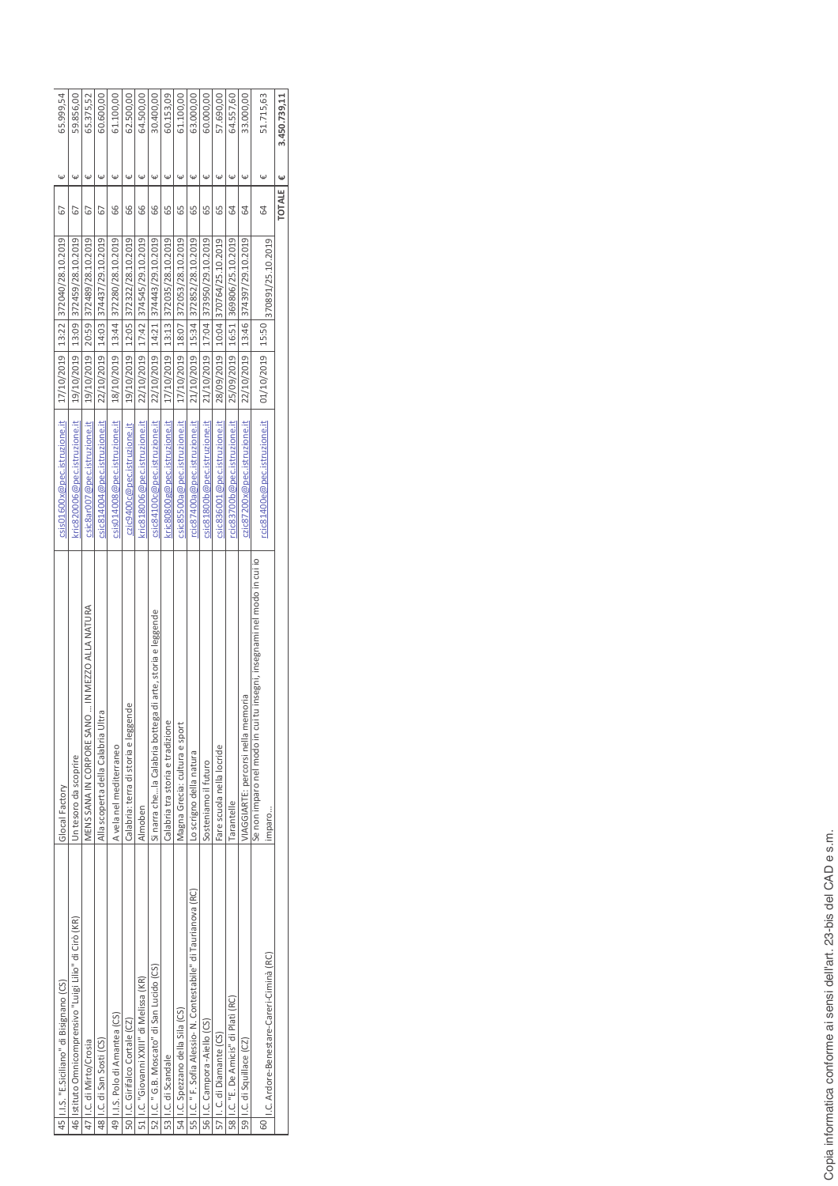|               | 45   I.I.S. "E.Siciliano" di Bisignano (CS)                       | Glocal Factory                                                                        | csis01600x@pec.istruzione.it |                  | 17/10/2019   13:22   372040/28.10.2019 | 67 | Ψ                       | 65.999,54    |  |
|---------------|-------------------------------------------------------------------|---------------------------------------------------------------------------------------|------------------------------|------------------|----------------------------------------|----|-------------------------|--------------|--|
|               | 46  Istituto Omnicomprensivo "Luigi Lilio" di Cirò (KR)           | Un tesoro da scoprire                                                                 | kric820006@pec.istruzione.it | 19/10/2019       | 13:09 372459/28.10.2019                | 67 | Ψ                       | 59.856,00    |  |
|               | 47 II.C. di Mirto/Crosia                                          | IN MEZZO ALLA NATURA<br>$\vdots$<br>MENS SANA IN CORPORE SANO                         | csic8ar007@pec.istruzione.it | 19/10/2019       | 372489/28.10.2019<br>20:59             | 55 | $\overline{\mathsf{L}}$ | 65.375,52    |  |
| 48            | .C. di San Sosti (CS)                                             | Alla scoperta della Calabria Ultra                                                    | csic814004@pec.istruzione.it | 22/10/2019       | 374437/29.10.2019<br>14:03             | 67 | $\upomega$              | 60.600,00    |  |
|               | 49   I.I.S. Polo di Amantea (CS)                                  | A vela nel mediterraneo                                                               | csis014008@pec.istruzione.it | 18/10/2019       | 372280/28.10.2019<br>13:44             | 66 | Ψ                       | 61.100,00    |  |
|               | 50   I.C. Girifal co Cortale (CZ)                                 | Calabria: terra di storia e leggende                                                  | czic9400c@pec.istruzione.it  |                  | 19/10/2019   12:05   372322/28.10.2019 | 66 | Ψ                       | 62.500,00    |  |
| 51            | I.C. "Giovanni XXIII" di Melissa (KR)                             | Almoben                                                                               | kric818006@pec.istruzione.it |                  | 22/10/2019   17:42 374545/29.10.2019   | 66 | $\omega$                | 64.500,00    |  |
|               | 52 I.C. " G.B. Moscato" di San Lucido (CS)                        | di arte, storia e leggende<br>Si narra chela Calabria bottega                         | csic84100c@pec.istruzione.it |                  | 22/10/2019   14:21   374443/29.10.2019 | 66 | $\overline{\mathsf{L}}$ | 30.400,00    |  |
|               | 53 II.C. di Scandale                                              | Calabria tra storia e tradizione                                                      | kric80800g@pec.istruzione.it |                  | 17/10/2019   13:13   372035/28.10.2019 | 65 | Ψ                       | 60.153,09    |  |
|               | 54   I.C. Spezzano della Sila (CS)                                | Magna Grecia: cultura e sport                                                         | csic85500a@pec.istruzione.it |                  | 17/10/2019   18:07   372053/28.10.2019 | 55 | Ψ                       | 61.100,00    |  |
|               | 55   I.C. " F. Sofia Alessio- N. Contestabile" di Taurianova (RC) | Lo scrigno della natura                                                               | rcic87400a@pec.istruzione.it |                  | 21/10/2019   15:34   372852/28.10.2019 | 65 | Ψ                       | 63.000,00    |  |
|               | 56   I.C. Campora - Aiello (CS)                                   | Sosteniamo il futuro                                                                  | csic81800b@pec.istruzione.it |                  | 21/10/2019   17:04   373950/29.10.2019 | 65 | Ψ                       | 60.000,00    |  |
| $\frac{1}{2}$ | I. C. di Diamante (CS)                                            | Fare scuola nella locride                                                             | csic836001@pec.istruzione.it | 28/09/2019       | 10:04 370764/25.10.2019                | 65 | Ψ                       | 57.690,00    |  |
|               | 58   I.C. "E. De Amicis" di Plati (RC)                            | Tarantelle                                                                            | cic83700b@pec.istruzione.it  | 25/09/2019       | 369806/25.10.2019<br>16:51             | 64 | $\omega$                | 64.557,60    |  |
| $\frac{1}{5}$ | .C. di Squillace (CZ)                                             | /IAGGIARTE: percorsi nella memoria                                                    | czic87200x@pec.istruzione.it | 22/10/2019       | 374397/29.10.2019<br>13:46             | 64 | Ψ                       | 33.000,00    |  |
| 60            | I.C. Ardore-Benestare-Careri-Ciminà (RC)                          | tu insegni, insegnami nel modo in cui io<br>Se non imparo nel modo in cui t<br>imparo | cic81400e@pec.istruzione.it  | 01/10/2019 15:50 | 370891/25.10.2019                      | 3  |                         | 51.715,63    |  |
|               |                                                                   |                                                                                       |                              |                  |                                        |    | Ψ<br><b>TOTALE</b>      | 3.450.739,11 |  |